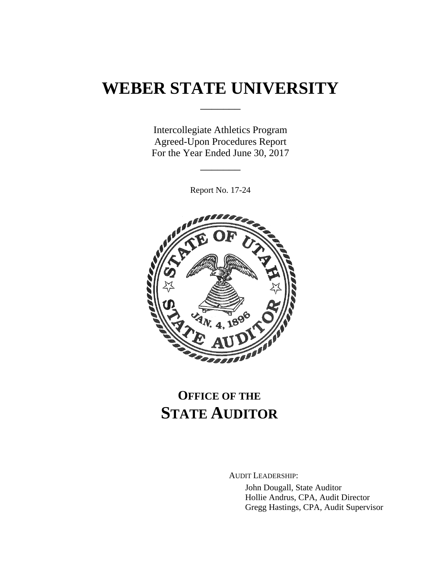# **WEBER STATE UNIVERSITY**

\_\_\_\_\_\_\_

Intercollegiate Athletics Program Agreed-Upon Procedures Report For the Year Ended June 30, 2017

Report No. 17-24

\_\_\_\_\_\_\_



# **OFFICE OF THE STATE AUDITOR**

AUDIT LEADERSHIP:

John Dougall, State Auditor Hollie Andrus, CPA, Audit Director Gregg Hastings, CPA, Audit Supervisor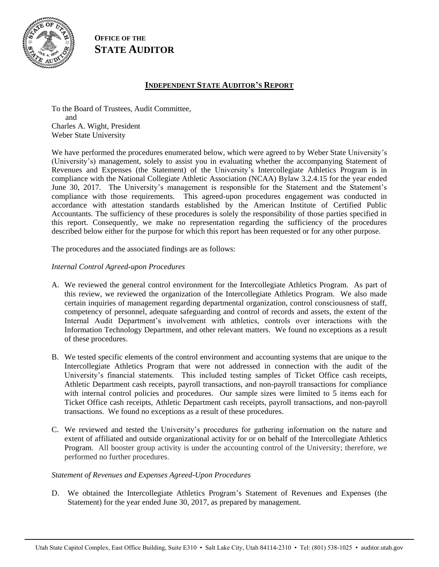

**OFFICE OF THE STATE AUDITOR**

## **INDEPENDENT STATE AUDITOR'S REPORT**

To the Board of Trustees, Audit Committee, and Charles A. Wight, President Weber State University

We have performed the procedures enumerated below, which were agreed to by Weber State University's (University's) management, solely to assist you in evaluating whether the accompanying Statement of Revenues and Expenses (the Statement) of the University's Intercollegiate Athletics Program is in compliance with the National Collegiate Athletic Association (NCAA) Bylaw 3.2.4.15 for the year ended June 30, 2017. The University's management is responsible for the Statement and the Statement's compliance with those requirements. This agreed-upon procedures engagement was conducted in accordance with attestation standards established by the American Institute of Certified Public Accountants. The sufficiency of these procedures is solely the responsibility of those parties specified in this report. Consequently, we make no representation regarding the sufficiency of the procedures described below either for the purpose for which this report has been requested or for any other purpose.

The procedures and the associated findings are as follows:

## *Internal Control Agreed-upon Procedures*

- A. We reviewed the general control environment for the Intercollegiate Athletics Program. As part of this review, we reviewed the organization of the Intercollegiate Athletics Program. We also made certain inquiries of management regarding departmental organization, control consciousness of staff, competency of personnel, adequate safeguarding and control of records and assets, the extent of the Internal Audit Department's involvement with athletics, controls over interactions with the Information Technology Department, and other relevant matters. We found no exceptions as a result of these procedures.
- B. We tested specific elements of the control environment and accounting systems that are unique to the Intercollegiate Athletics Program that were not addressed in connection with the audit of the University's financial statements. This included testing samples of Ticket Office cash receipts, Athletic Department cash receipts, payroll transactions, and non-payroll transactions for compliance with internal control policies and procedures. Our sample sizes were limited to 5 items each for Ticket Office cash receipts, Athletic Department cash receipts, payroll transactions, and non-payroll transactions. We found no exceptions as a result of these procedures.
- C. We reviewed and tested the University's procedures for gathering information on the nature and extent of affiliated and outside organizational activity for or on behalf of the Intercollegiate Athletics Program. All booster group activity is under the accounting control of the University; therefore, we performed no further procedures.

#### *Statement of Revenues and Expenses Agreed-Upon Procedures*

D. We obtained the Intercollegiate Athletics Program's Statement of Revenues and Expenses (the Statement) for the year ended June 30, 2017, as prepared by management.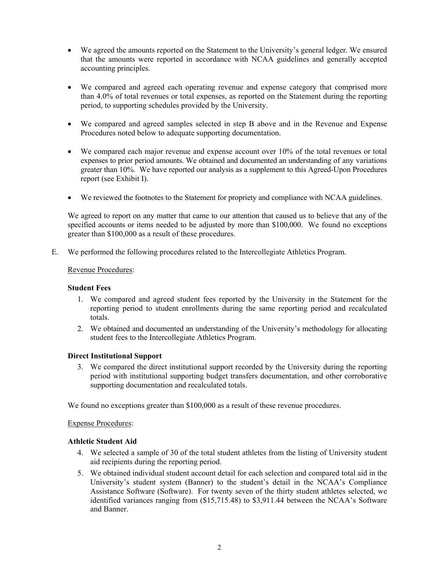- We agreed the amounts reported on the Statement to the University's general ledger. We ensured that the amounts were reported in accordance with NCAA guidelines and generally accepted accounting principles.
- We compared and agreed each operating revenue and expense category that comprised more than 4.0% of total revenues or total expenses, as reported on the Statement during the reporting period, to supporting schedules provided by the University.
- We compared and agreed samples selected in step B above and in the Revenue and Expense Procedures noted below to adequate supporting documentation.
- We compared each major revenue and expense account over 10% of the total revenues or total expenses to prior period amounts. We obtained and documented an understanding of any variations greater than 10%. We have reported our analysis as a supplement to this Agreed-Upon Procedures report (see Exhibit I).
- We reviewed the footnotes to the Statement for propriety and compliance with NCAA guidelines.

We agreed to report on any matter that came to our attention that caused us to believe that any of the specified accounts or items needed to be adjusted by more than \$100,000. We found no exceptions greater than \$100,000 as a result of these procedures.

E. We performed the following procedures related to the Intercollegiate Athletics Program.

#### Revenue Procedures:

#### **Student Fees**

- 1. We compared and agreed student fees reported by the University in the Statement for the reporting period to student enrollments during the same reporting period and recalculated totals.
- 2. We obtained and documented an understanding of the University's methodology for allocating student fees to the Intercollegiate Athletics Program.

#### **Direct Institutional Support**

3. We compared the direct institutional support recorded by the University during the reporting period with institutional supporting budget transfers documentation, and other corroborative supporting documentation and recalculated totals.

We found no exceptions greater than \$100,000 as a result of these revenue procedures.

#### Expense Procedures:

### **Athletic Student Aid**

- 4. We selected a sample of 30 of the total student athletes from the listing of University student aid recipients during the reporting period.
- 5. We obtained individual student account detail for each selection and compared total aid in the University's student system (Banner) to the student's detail in the NCAA's Compliance Assistance Software (Software). For twenty seven of the thirty student athletes selected, we identified variances ranging from (\$15,715.48) to \$3,911.44 between the NCAA's Software and Banner.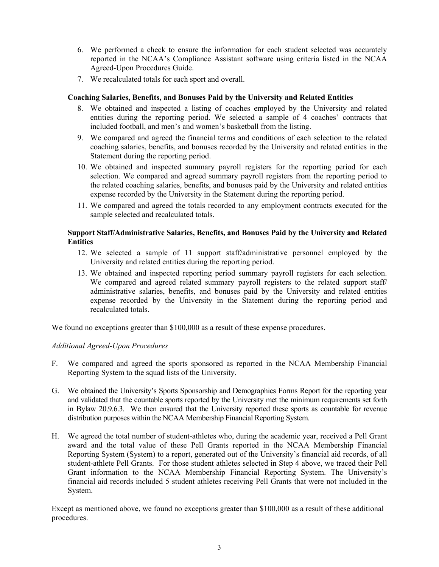- 6. We performed a check to ensure the information for each student selected was accurately reported in the NCAA's Compliance Assistant software using criteria listed in the NCAA Agreed-Upon Procedures Guide.
- 7. We recalculated totals for each sport and overall.

#### **Coaching Salaries, Benefits, and Bonuses Paid by the University and Related Entities**

- 8. We obtained and inspected a listing of coaches employed by the University and related entities during the reporting period. We selected a sample of 4 coaches' contracts that included football, and men's and women's basketball from the listing.
- 9. We compared and agreed the financial terms and conditions of each selection to the related coaching salaries, benefits, and bonuses recorded by the University and related entities in the Statement during the reporting period.
- 10. We obtained and inspected summary payroll registers for the reporting period for each selection. We compared and agreed summary payroll registers from the reporting period to the related coaching salaries, benefits, and bonuses paid by the University and related entities expense recorded by the University in the Statement during the reporting period.
- 11. We compared and agreed the totals recorded to any employment contracts executed for the sample selected and recalculated totals.

## **Support Staff/Administrative Salaries, Benefits, and Bonuses Paid by the University and Related Entities**

- 12. We selected a sample of 11 support staff/administrative personnel employed by the University and related entities during the reporting period.
- 13. We obtained and inspected reporting period summary payroll registers for each selection. We compared and agreed related summary payroll registers to the related support staff/ administrative salaries, benefits, and bonuses paid by the University and related entities expense recorded by the University in the Statement during the reporting period and recalculated totals.

We found no exceptions greater than \$100,000 as a result of these expense procedures.

#### *Additional Agreed-Upon Procedures*

- F. We compared and agreed the sports sponsored as reported in the NCAA Membership Financial Reporting System to the squad lists of the University.
- G. We obtained the University's Sports Sponsorship and Demographics Forms Report for the reporting year and validated that the countable sports reported by the University met the minimum requirements set forth in Bylaw 20.9.6.3. We then ensured that the University reported these sports as countable for revenue distribution purposes within the NCAA Membership Financial Reporting System.
- H. We agreed the total number of student-athletes who, during the academic year, received a Pell Grant award and the total value of these Pell Grants reported in the NCAA Membership Financial Reporting System (System) to a report, generated out of the University's financial aid records, of all student-athlete Pell Grants. For those student athletes selected in Step 4 above, we traced their Pell Grant information to the NCAA Membership Financial Reporting System. The University's financial aid records included 5 student athletes receiving Pell Grants that were not included in the System.

Except as mentioned above, we found no exceptions greater than \$100,000 as a result of these additional procedures.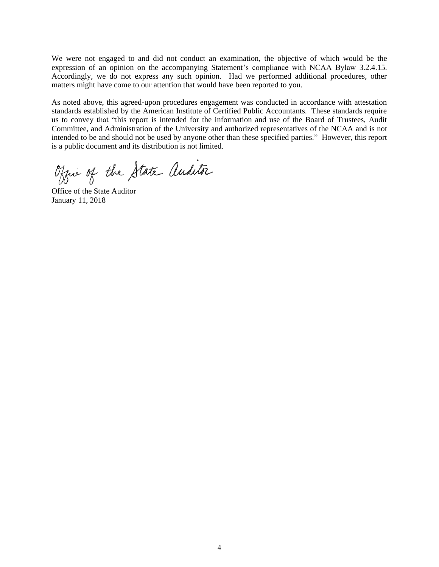We were not engaged to and did not conduct an examination, the objective of which would be the expression of an opinion on the accompanying Statement's compliance with NCAA Bylaw 3.2.4.15. Accordingly, we do not express any such opinion. Had we performed additional procedures, other matters might have come to our attention that would have been reported to you.

As noted above, this agreed-upon procedures engagement was conducted in accordance with attestation standards established by the American Institute of Certified Public Accountants. These standards require us to convey that "this report is intended for the information and use of the Board of Trustees, Audit Committee, and Administration of the University and authorized representatives of the NCAA and is not intended to be and should not be used by anyone other than these specified parties." However, this report is a public document and its distribution is not limited.

Office of the State Auditor

Office of the State Auditor January 11, 2018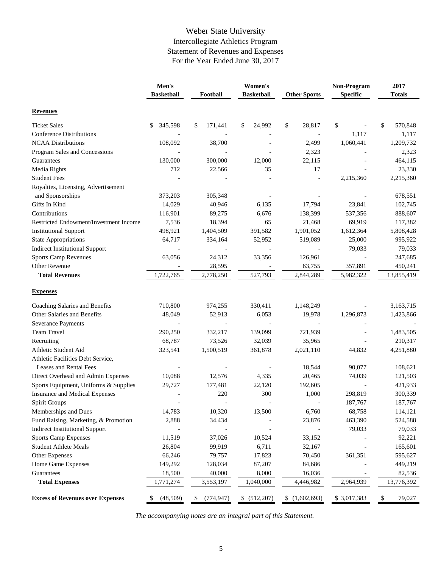# Weber State University Intercollegiate Athletics Program Statement of Revenues and Expenses For the Year Ended June 30, 2017

|                                         | Men's<br>Women's  |                  | Non-Program       | 2017                |             |               |
|-----------------------------------------|-------------------|------------------|-------------------|---------------------|-------------|---------------|
|                                         | <b>Basketball</b> | Football         | <b>Basketball</b> | <b>Other Sports</b> | Specific    | <b>Totals</b> |
| <b>Revenues</b>                         |                   |                  |                   |                     |             |               |
| <b>Ticket Sales</b>                     | 345,598<br>\$     | 171,441<br>\$    | \$<br>24,992      | \$<br>28,817        | \$          | \$<br>570,848 |
| <b>Conference Distributions</b>         |                   |                  |                   |                     | 1,117       | 1,117         |
| <b>NCAA Distributions</b>               | 108,092           | 38,700           |                   | 2,499               | 1,060,441   | 1,209,732     |
| Program Sales and Concessions           |                   |                  |                   | 2,323               |             | 2,323         |
| Guarantees                              | 130,000           | 300,000          | 12,000            | 22,115              |             | 464,115       |
| Media Rights                            | 712               | 22,566           | 35                | 17                  |             | 23,330        |
| <b>Student Fees</b>                     |                   |                  |                   |                     | 2,215,360   | 2,215,360     |
| Royalties, Licensing, Advertisement     |                   |                  |                   |                     |             |               |
| and Sponsorships                        | 373,203           | 305,348          |                   |                     |             | 678,551       |
| Gifts In Kind                           | 14,029            | 40,946           | 6,135             | 17,794              | 23,841      | 102,745       |
| Contributions                           | 116,901           | 89,275           | 6,676             | 138,399             | 537,356     | 888,607       |
| Restricted Endowment/Investment Income  | 7,536             | 18,394           | 65                | 21,468              | 69,919      | 117,382       |
| <b>Institutional Support</b>            | 498,921           | 1,404,509        | 391,582           | 1,901,052           | 1,612,364   | 5,808,428     |
| <b>State Appropriations</b>             | 64,717            | 334,164          | 52,952            | 519,089             | 25,000      | 995,922       |
| <b>Indirect Institutional Support</b>   |                   |                  |                   |                     | 79,033      | 79,033        |
| <b>Sports Camp Revenues</b>             | 63,056            | 24,312           | 33,356            | 126,961             |             | 247,685       |
| Other Revenue                           |                   | 28,595           |                   | 63,755              | 357,891     | 450,241       |
| <b>Total Revenues</b>                   | 1,722,765         | 2,778,250        | 527,793           | 2,844,289           | 5,982,322   | 13,855,419    |
| <b>Expenses</b>                         |                   |                  |                   |                     |             |               |
| Coaching Salaries and Benefits          | 710,800           | 974,255          | 330,411           | 1,148,249           |             | 3,163,715     |
| Other Salaries and Benefits             | 48,049            | 52,913           | 6,053             | 19,978              | 1,296,873   | 1,423,866     |
| <b>Severance Payments</b>               |                   |                  |                   |                     |             |               |
| Team Travel                             | 290,250           | 332,217          | 139,099           | 721,939             |             | 1,483,505     |
| Recruiting                              | 68,787            | 73,526           | 32,039            | 35,965              |             | 210,317       |
| Athletic Student Aid                    | 323,541           | 1,500,519        | 361,878           | 2,021,110           | 44,832      | 4,251,880     |
| Athletic Facilities Debt Service,       |                   |                  |                   |                     |             |               |
| Leases and Rental Fees                  |                   |                  |                   | 18,544              | 90,077      | 108,621       |
| Direct Overhead and Admin Expenses      | 10,088            | 12,576           | 4,335             | 20,465              | 74,039      | 121,503       |
| Sports Equipment, Uniforms & Supplies   | 29,727            | 177,481          | 22,120            | 192,605             |             | 421,933       |
| Insurance and Medical Expenses          |                   | 220              | 300               | 1,000               | 298,819     | 300,339       |
| Spirit Groups                           |                   |                  |                   |                     | 187,767     | 187,767       |
| Memberships and Dues                    | 14,783            | 10,320           | 13,500            | 6,760               | 68,758      | 114,121       |
| Fund Raising, Marketing, & Promotion    | 2,888             | 34,434           |                   | 23,876              | 463,390     | 524,588       |
| <b>Indirect Institutional Support</b>   |                   |                  |                   |                     | 79,033      | 79,033        |
| <b>Sports Camp Expenses</b>             | 11,519            | 37,026           | 10,524            | 33,152              |             | 92,221        |
| <b>Student Athlete Meals</b>            | 26,804            | 99,919           | 6,711             | 32,167              |             | 165,601       |
| Other Expenses                          | 66,246            | 79,757           | 17,823            | 70,450              | 361,351     | 595,627       |
| Home Game Expenses                      | 149,292           | 128,034          | 87,207            | 84,686              |             | 449,219       |
| Guarantees                              | 18,500            | 40,000           | 8,000             | 16,036              |             | 82,536        |
| <b>Total Expenses</b>                   | 1,771,274         | 3,553,197        | 1,040,000         | 4,446,982           | 2,964,939   | 13,776,392    |
| <b>Excess of Revenues over Expenses</b> | (48,509)<br>\$    | (774, 947)<br>\$ | \$ (512,207)      | (1,602,693)         | \$3,017,383 | \$<br>79,027  |

*The accompanying notes are an integral part of this Statement.*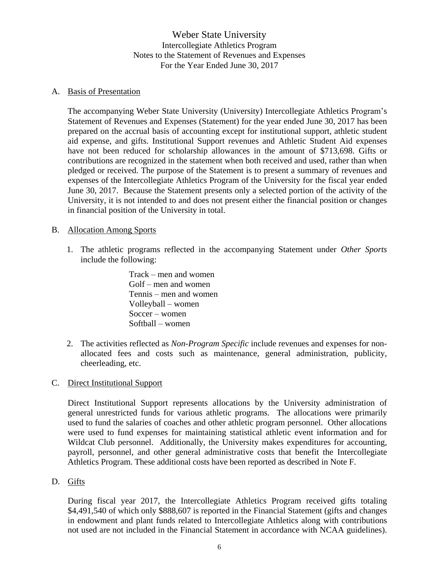Weber State University Intercollegiate Athletics Program Notes to the Statement of Revenues and Expenses For the Year Ended June 30, 2017

## A. Basis of Presentation

The accompanying Weber State University (University) Intercollegiate Athletics Program's Statement of Revenues and Expenses (Statement) for the year ended June 30, 2017 has been prepared on the accrual basis of accounting except for institutional support, athletic student aid expense, and gifts. Institutional Support revenues and Athletic Student Aid expenses have not been reduced for scholarship allowances in the amount of \$713,698. Gifts or contributions are recognized in the statement when both received and used, rather than when pledged or received. The purpose of the Statement is to present a summary of revenues and expenses of the Intercollegiate Athletics Program of the University for the fiscal year ended June 30, 2017. Because the Statement presents only a selected portion of the activity of the University, it is not intended to and does not present either the financial position or changes in financial position of the University in total.

## B. Allocation Among Sports

1. The athletic programs reflected in the accompanying Statement under *Other Sports* include the following:

> Track – men and women Golf – men and women Tennis – men and women Volleyball – women Soccer – women Softball – women

2. The activities reflected as *Non-Program Specific* include revenues and expenses for nonallocated fees and costs such as maintenance, general administration, publicity, cheerleading, etc.

## C. Direct Institutional Support

Direct Institutional Support represents allocations by the University administration of general unrestricted funds for various athletic programs. The allocations were primarily used to fund the salaries of coaches and other athletic program personnel. Other allocations were used to fund expenses for maintaining statistical athletic event information and for Wildcat Club personnel. Additionally, the University makes expenditures for accounting, payroll, personnel, and other general administrative costs that benefit the Intercollegiate Athletics Program. These additional costs have been reported as described in Note F.

## D. Gifts

During fiscal year 2017, the Intercollegiate Athletics Program received gifts totaling \$4,491,540 of which only \$888,607 is reported in the Financial Statement (gifts and changes in endowment and plant funds related to Intercollegiate Athletics along with contributions not used are not included in the Financial Statement in accordance with NCAA guidelines).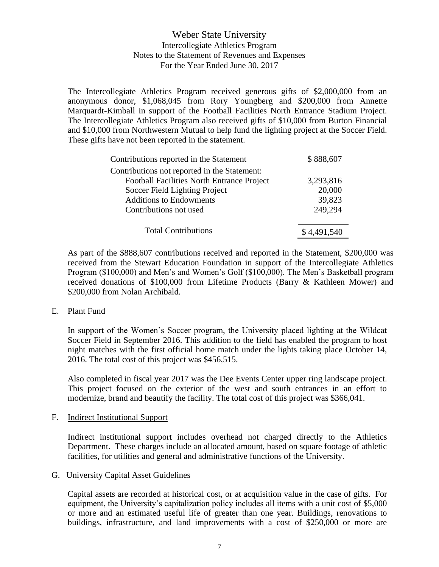# Weber State University Intercollegiate Athletics Program Notes to the Statement of Revenues and Expenses For the Year Ended June 30, 2017

The Intercollegiate Athletics Program received generous gifts of \$2,000,000 from an anonymous donor, \$1,068,045 from Rory Youngberg and \$200,000 from Annette Marquardt-Kimball in support of the Football Facilities North Entrance Stadium Project. The Intercollegiate Athletics Program also received gifts of \$10,000 from Burton Financial and \$10,000 from Northwestern Mutual to help fund the lighting project at the Soccer Field. These gifts have not been reported in the statement.

| Contributions reported in the Statement           | \$888,607   |
|---------------------------------------------------|-------------|
| Contributions not reported in the Statement:      |             |
| <b>Football Facilities North Entrance Project</b> | 3,293,816   |
| Soccer Field Lighting Project                     | 20,000      |
| <b>Additions to Endowments</b>                    | 39,823      |
| Contributions not used                            | 249,294     |
| <b>Total Contributions</b>                        | \$4,491,540 |

As part of the \$888,607 contributions received and reported in the Statement, \$200,000 was received from the Stewart Education Foundation in support of the Intercollegiate Athletics Program (\$100,000) and Men's and Women's Golf (\$100,000). The Men's Basketball program received donations of \$100,000 from Lifetime Products (Barry & Kathleen Mower) and \$200,000 from Nolan Archibald.

E. Plant Fund

In support of the Women's Soccer program, the University placed lighting at the Wildcat Soccer Field in September 2016. This addition to the field has enabled the program to host night matches with the first official home match under the lights taking place October 14, 2016. The total cost of this project was \$456,515.

Also completed in fiscal year 2017 was the Dee Events Center upper ring landscape project. This project focused on the exterior of the west and south entrances in an effort to modernize, brand and beautify the facility. The total cost of this project was \$366,041.

## F. Indirect Institutional Support

Indirect institutional support includes overhead not charged directly to the Athletics Department. These charges include an allocated amount, based on square footage of athletic facilities, for utilities and general and administrative functions of the University.

## G. University Capital Asset Guidelines

Capital assets are recorded at historical cost, or at acquisition value in the case of gifts. For equipment, the University's capitalization policy includes all items with a unit cost of \$5,000 or more and an estimated useful life of greater than one year. Buildings, renovations to buildings, infrastructure, and land improvements with a cost of \$250,000 or more are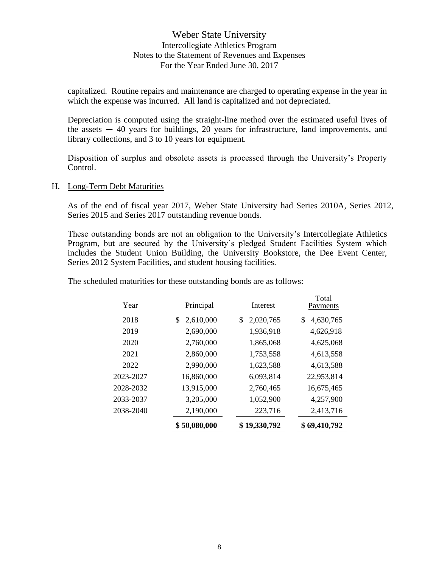# Weber State University Intercollegiate Athletics Program Notes to the Statement of Revenues and Expenses For the Year Ended June 30, 2017

capitalized. Routine repairs and maintenance are charged to operating expense in the year in which the expense was incurred. All land is capitalized and not depreciated.

Depreciation is computed using the straight-line method over the estimated useful lives of the assets  $-40$  years for buildings, 20 years for infrastructure, land improvements, and library collections, and 3 to 10 years for equipment.

Disposition of surplus and obsolete assets is processed through the University's Property Control.

#### H. Long-Term Debt Maturities

As of the end of fiscal year 2017, Weber State University had Series 2010A, Series 2012, Series 2015 and Series 2017 outstanding revenue bonds.

These outstanding bonds are not an obligation to the University's Intercollegiate Athletics Program, but are secured by the University's pledged Student Facilities System which includes the Student Union Building, the University Bookstore, the Dee Event Center, Series 2012 System Facilities, and student housing facilities.

The scheduled maturities for these outstanding bonds are as follows:

|           | \$50,080,000    | \$19,330,792    | \$69,410,792      |
|-----------|-----------------|-----------------|-------------------|
| 2038-2040 | 2,190,000       | 223,716         | 2,413,716         |
| 2033-2037 | 3,205,000       | 1,052,900       | 4,257,900         |
| 2028-2032 | 13,915,000      | 2,760,465       | 16,675,465        |
| 2023-2027 | 16,860,000      | 6,093,814       | 22,953,814        |
| 2022      | 2,990,000       | 1,623,588       | 4,613,588         |
| 2021      | 2,860,000       | 1,753,558       | 4,613,558         |
| 2020      | 2,760,000       | 1,865,068       | 4,625,068         |
| 2019      | 2,690,000       | 1,936,918       | 4,626,918         |
| 2018      | 2,610,000<br>\$ | 2,020,765<br>\$ | 4,630,765<br>\$   |
| Year      | Principal       | Interest        | Total<br>Payments |